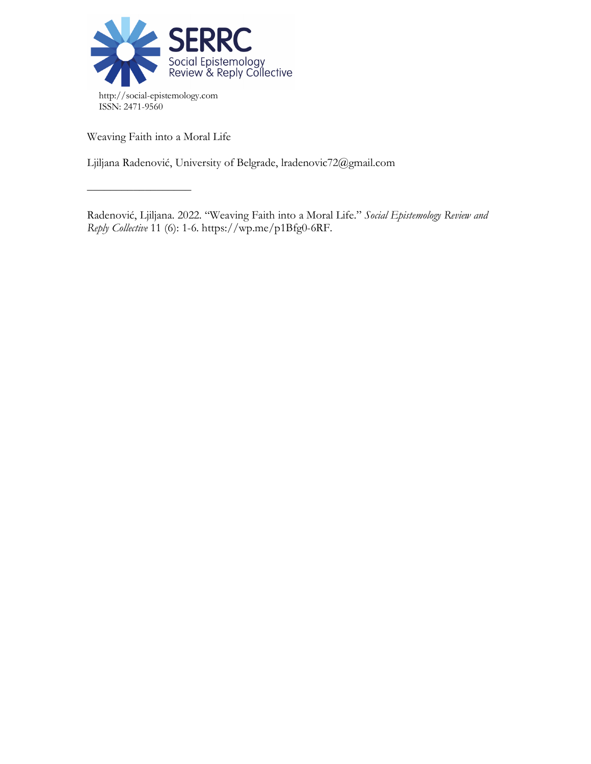

Weaving Faith into a Moral Life

––––––––––––––––––

Ljiljana Radenović, University of Belgrade, lradenovic72@gmail.com

Radenović, Ljiljana. 2022. "Weaving Faith into a Moral Life." *Social Epistemology Review and Reply Collective* 11 (6): 1-6. https://wp.me/p1Bfg0-6RF.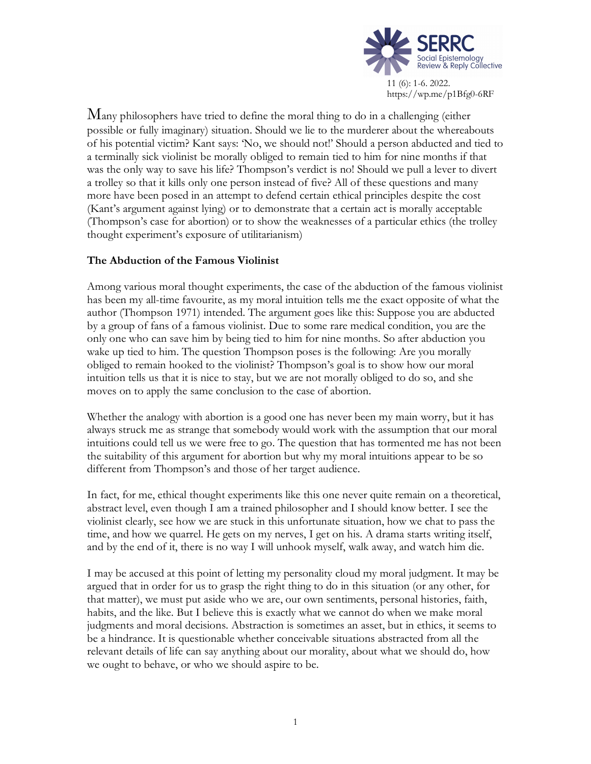

Many philosophers have tried to define the moral thing to do in a challenging (either possible or fully imaginary) situation. Should we lie to the murderer about the whereabouts of his potential victim? Kant says: 'No, we should not!' Should a person abducted and tied to a terminally sick violinist be morally obliged to remain tied to him for nine months if that was the only way to save his life? Thompson's verdict is no! Should we pull a lever to divert a trolley so that it kills only one person instead of five? All of these questions and many more have been posed in an attempt to defend certain ethical principles despite the cost (Kant's argument against lying) or to demonstrate that a certain act is morally acceptable (Thompson's case for abortion) or to show the weaknesses of a particular ethics (the trolley thought experiment's exposure of utilitarianism)

# **The Abduction of the Famous Violinist**

Among various moral thought experiments, the case of the abduction of the famous violinist has been my all-time favourite, as my moral intuition tells me the exact opposite of what the author (Thompson 1971) intended. The argument goes like this: Suppose you are abducted by a group of fans of a famous violinist. Due to some rare medical condition, you are the only one who can save him by being tied to him for nine months. So after abduction you wake up tied to him. The question Thompson poses is the following: Are you morally obliged to remain hooked to the violinist? Thompson's goal is to show how our moral intuition tells us that it is nice to stay, but we are not morally obliged to do so, and she moves on to apply the same conclusion to the case of abortion.

Whether the analogy with abortion is a good one has never been my main worry, but it has always struck me as strange that somebody would work with the assumption that our moral intuitions could tell us we were free to go. The question that has tormented me has not been the suitability of this argument for abortion but why my moral intuitions appear to be so different from Thompson's and those of her target audience.

In fact, for me, ethical thought experiments like this one never quite remain on a theoretical, abstract level, even though I am a trained philosopher and I should know better. I see the violinist clearly, see how we are stuck in this unfortunate situation, how we chat to pass the time, and how we quarrel. He gets on my nerves, I get on his. A drama starts writing itself, and by the end of it, there is no way I will unhook myself, walk away, and watch him die.

I may be accused at this point of letting my personality cloud my moral judgment. It may be argued that in order for us to grasp the right thing to do in this situation (or any other, for that matter), we must put aside who we are, our own sentiments, personal histories, faith, habits, and the like. But I believe this is exactly what we cannot do when we make moral judgments and moral decisions. Abstraction is sometimes an asset, but in ethics, it seems to be a hindrance. It is questionable whether conceivable situations abstracted from all the relevant details of life can say anything about our morality, about what we should do, how we ought to behave, or who we should aspire to be.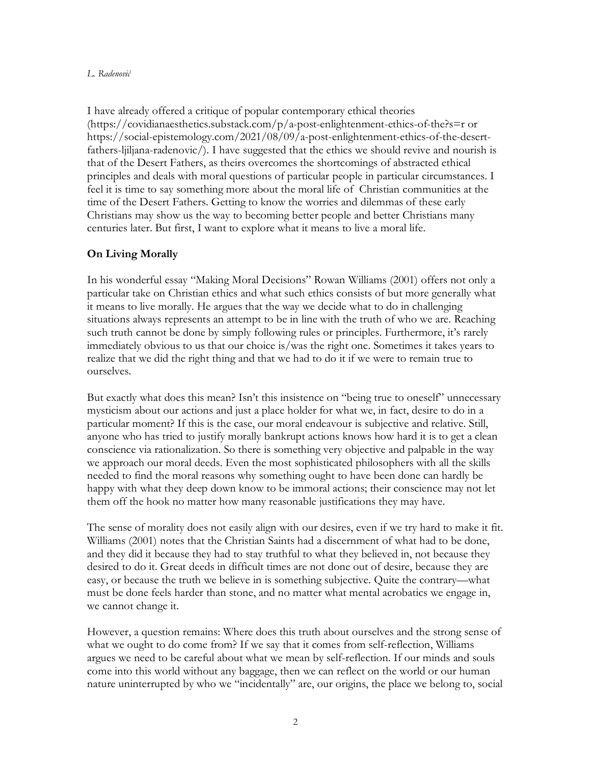### *L. Radenović*

I have already offered a critique of popular contemporary ethical theories (https://covidianaesthetics.substack.com/p/a-post-enlightenment-ethics-of-the?s=r or https://social-epistemology.com/2021/08/09/a-post-enlightenment-ethics-of-the-desertfathers-ljiljana-radenovic/). I have suggested that the ethics we should revive and nourish is that of the Desert Fathers, as theirs overcomes the shortcomings of abstracted ethical principles and deals with moral questions of particular people in particular circumstances. I feel it is time to say something more about the moral life of Christian communities at the time of the Desert Fathers. Getting to know the worries and dilemmas of these early Christians may show us the way to becoming better people and better Christians many centuries later. But first, I want to explore what it means to live a moral life.

# **On Living Morally**

In his wonderful essay "Making Moral Decisions" Rowan Williams (2001) offers not only a particular take on Christian ethics and what such ethics consists of but more generally what it means to live morally. He argues that the way we decide what to do in challenging situations always represents an attempt to be in line with the truth of who we are. Reaching such truth cannot be done by simply following rules or principles. Furthermore, it's rarely immediately obvious to us that our choice is/was the right one. Sometimes it takes years to realize that we did the right thing and that we had to do it if we were to remain true to ourselves.

But exactly what does this mean? Isn't this insistence on "being true to oneself" unnecessary mysticism about our actions and just a place holder for what we, in fact, desire to do in a particular moment? If this is the case, our moral endeavour is subjective and relative. Still, anyone who has tried to justify morally bankrupt actions knows how hard it is to get a clean conscience via rationalization. So there is something very objective and palpable in the way we approach our moral deeds. Even the most sophisticated philosophers with all the skills needed to find the moral reasons why something ought to have been done can hardly be happy with what they deep down know to be immoral actions; their conscience may not let them off the hook no matter how many reasonable justifications they may have.

The sense of morality does not easily align with our desires, even if we try hard to make it fit. Williams (2001) notes that the Christian Saints had a discernment of what had to be done, and they did it because they had to stay truthful to what they believed in, not because they desired to do it. Great deeds in difficult times are not done out of desire, because they are easy, or because the truth we believe in is something subjective. Quite the contrary—what must be done feels harder than stone, and no matter what mental acrobatics we engage in, we cannot change it.

However, a question remains: Where does this truth about ourselves and the strong sense of what we ought to do come from? If we say that it comes from self-reflection, Williams argues we need to be careful about what we mean by self-reflection. If our minds and souls come into this world without any baggage, then we can reflect on the world or our human nature uninterrupted by who we "incidentally" are, our origins, the place we belong to, social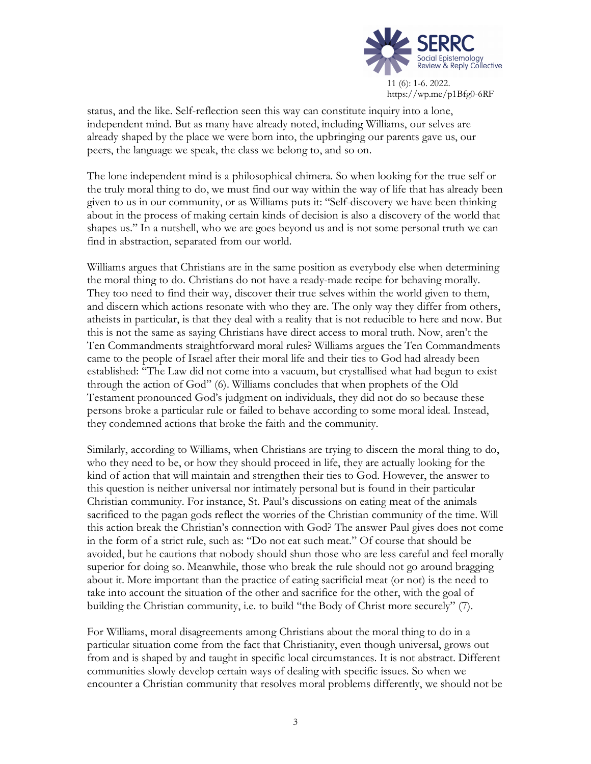

status, and the like. Self-reflection seen this way can constitute inquiry into a lone, independent mind. But as many have already noted, including Williams, our selves are already shaped by the place we were born into, the upbringing our parents gave us, our peers, the language we speak, the class we belong to, and so on.

The lone independent mind is a philosophical chimera. So when looking for the true self or the truly moral thing to do, we must find our way within the way of life that has already been given to us in our community, or as Williams puts it: "Self-discovery we have been thinking about in the process of making certain kinds of decision is also a discovery of the world that shapes us." In a nutshell, who we are goes beyond us and is not some personal truth we can find in abstraction, separated from our world.

Williams argues that Christians are in the same position as everybody else when determining the moral thing to do. Christians do not have a ready-made recipe for behaving morally. They too need to find their way, discover their true selves within the world given to them, and discern which actions resonate with who they are. The only way they differ from others, atheists in particular, is that they deal with a reality that is not reducible to here and now. But this is not the same as saying Christians have direct access to moral truth. Now, aren't the Ten Commandments straightforward moral rules? Williams argues the Ten Commandments came to the people of Israel after their moral life and their ties to God had already been established: "The Law did not come into a vacuum, but crystallised what had begun to exist through the action of God" (6). Williams concludes that when prophets of the Old Testament pronounced God's judgment on individuals, they did not do so because these persons broke a particular rule or failed to behave according to some moral ideal. Instead, they condemned actions that broke the faith and the community.

Similarly, according to Williams, when Christians are trying to discern the moral thing to do, who they need to be, or how they should proceed in life, they are actually looking for the kind of action that will maintain and strengthen their ties to God. However, the answer to this question is neither universal nor intimately personal but is found in their particular Christian community. For instance, St. Paul's discussions on eating meat of the animals sacrificed to the pagan gods reflect the worries of the Christian community of the time. Will this action break the Christian's connection with God? The answer Paul gives does not come in the form of a strict rule, such as: "Do not eat such meat." Of course that should be avoided, but he cautions that nobody should shun those who are less careful and feel morally superior for doing so. Meanwhile, those who break the rule should not go around bragging about it. More important than the practice of eating sacrificial meat (or not) is the need to take into account the situation of the other and sacrifice for the other, with the goal of building the Christian community, i.e. to build "the Body of Christ more securely" (7).

For Williams, moral disagreements among Christians about the moral thing to do in a particular situation come from the fact that Christianity, even though universal, grows out from and is shaped by and taught in specific local circumstances. It is not abstract. Different communities slowly develop certain ways of dealing with specific issues. So when we encounter a Christian community that resolves moral problems differently, we should not be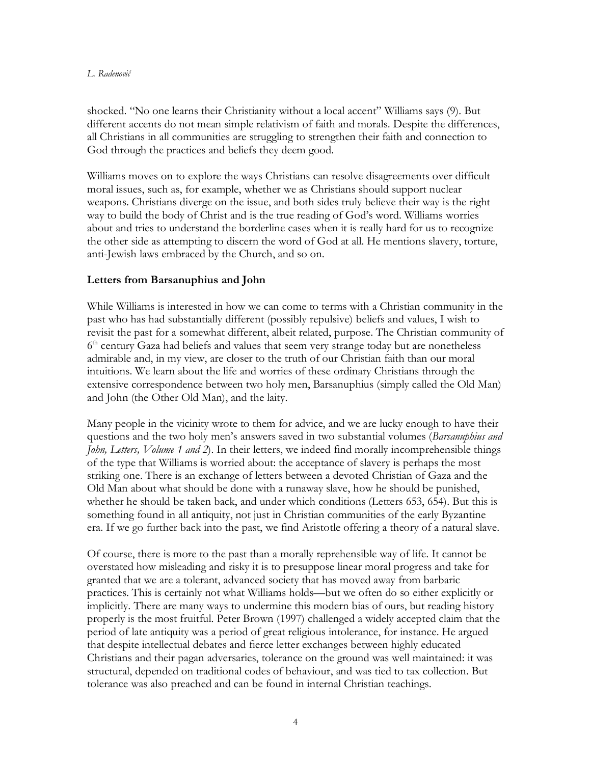#### *L. Radenović*

shocked. "No one learns their Christianity without a local accent" Williams says (9). But different accents do not mean simple relativism of faith and morals. Despite the differences, all Christians in all communities are struggling to strengthen their faith and connection to God through the practices and beliefs they deem good.

Williams moves on to explore the ways Christians can resolve disagreements over difficult moral issues, such as, for example, whether we as Christians should support nuclear weapons. Christians diverge on the issue, and both sides truly believe their way is the right way to build the body of Christ and is the true reading of God's word. Williams worries about and tries to understand the borderline cases when it is really hard for us to recognize the other side as attempting to discern the word of God at all. He mentions slavery, torture, anti-Jewish laws embraced by the Church, and so on.

## **Letters from Barsanuphius and John**

While Williams is interested in how we can come to terms with a Christian community in the past who has had substantially different (possibly repulsive) beliefs and values, I wish to revisit the past for a somewhat different, albeit related, purpose. The Christian community of  $6<sup>th</sup>$  century Gaza had beliefs and values that seem very strange today but are nonetheless admirable and, in my view, are closer to the truth of our Christian faith than our moral intuitions. We learn about the life and worries of these ordinary Christians through the extensive correspondence between two holy men, Barsanuphius (simply called the Old Man) and John (the Other Old Man), and the laity.

Many people in the vicinity wrote to them for advice, and we are lucky enough to have their questions and the two holy men's answers saved in two substantial volumes (*Barsanuphius and John, Letters, Volume 1 and 2*). In their letters, we indeed find morally incomprehensible things of the type that Williams is worried about: the acceptance of slavery is perhaps the most striking one. There is an exchange of letters between a devoted Christian of Gaza and the Old Man about what should be done with a runaway slave, how he should be punished, whether he should be taken back, and under which conditions (Letters 653, 654). But this is something found in all antiquity, not just in Christian communities of the early Byzantine era. If we go further back into the past, we find Aristotle offering a theory of a natural slave.

Of course, there is more to the past than a morally reprehensible way of life. It cannot be overstated how misleading and risky it is to presuppose linear moral progress and take for granted that we are a tolerant, advanced society that has moved away from barbaric practices. This is certainly not what Williams holds—but we often do so either explicitly or implicitly. There are many ways to undermine this modern bias of ours, but reading history properly is the most fruitful. Peter Brown (1997) challenged a widely accepted claim that the period of late antiquity was a period of great religious intolerance, for instance. He argued that despite intellectual debates and fierce letter exchanges between highly educated Christians and their pagan adversaries, tolerance on the ground was well maintained: it was structural, depended on traditional codes of behaviour, and was tied to tax collection. But tolerance was also preached and can be found in internal Christian teachings.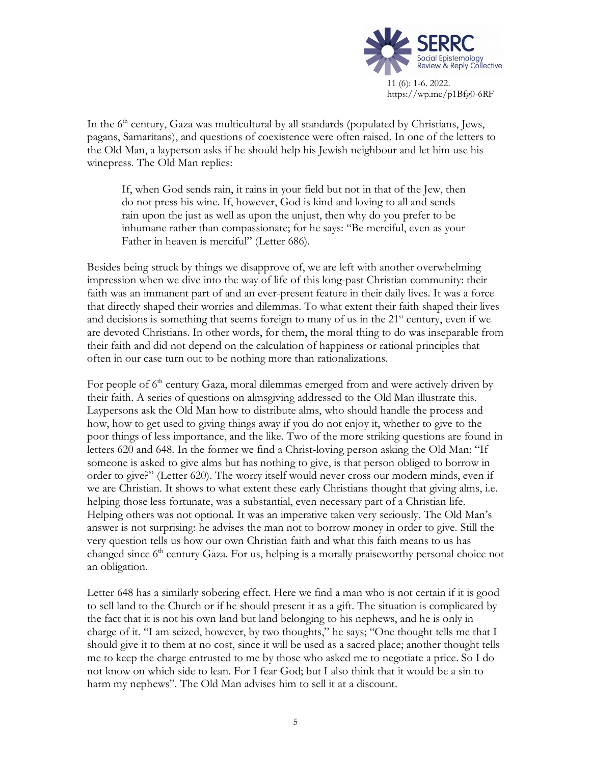

In the  $6<sup>th</sup>$  century, Gaza was multicultural by all standards (populated by Christians, Jews, pagans, Samaritans), and questions of coexistence were often raised. In one of the letters to the Old Man, a layperson asks if he should help his Jewish neighbour and let him use his winepress. The Old Man replies:

If, when God sends rain, it rains in your field but not in that of the Jew, then do not press his wine. If, however, God is kind and loving to all and sends rain upon the just as well as upon the unjust, then why do you prefer to be inhumane rather than compassionate; for he says: "Be merciful, even as your Father in heaven is merciful" (Letter 686).

Besides being struck by things we disapprove of, we are left with another overwhelming impression when we dive into the way of life of this long-past Christian community: their faith was an immanent part of and an ever-present feature in their daily lives. It was a force that directly shaped their worries and dilemmas. To what extent their faith shaped their lives and decisions is something that seems foreign to many of us in the  $21<sup>st</sup>$  century, even if we are devoted Christians. In other words, for them, the moral thing to do was inseparable from their faith and did not depend on the calculation of happiness or rational principles that often in our case turn out to be nothing more than rationalizations.

For people of  $6<sup>th</sup>$  century Gaza, moral dilemmas emerged from and were actively driven by their faith. A series of questions on almsgiving addressed to the Old Man illustrate this. Laypersons ask the Old Man how to distribute alms, who should handle the process and how, how to get used to giving things away if you do not enjoy it, whether to give to the poor things of less importance, and the like. Two of the more striking questions are found in letters 620 and 648. In the former we find a Christ-loving person asking the Old Man: "If someone is asked to give alms but has nothing to give, is that person obliged to borrow in order to give?" (Letter 620). The worry itself would never cross our modern minds, even if we are Christian. It shows to what extent these early Christians thought that giving alms, i.e. helping those less fortunate, was a substantial, even necessary part of a Christian life. Helping others was not optional. It was an imperative taken very seriously. The Old Man's answer is not surprising: he advises the man not to borrow money in order to give. Still the very question tells us how our own Christian faith and what this faith means to us has changed since  $6<sup>th</sup>$  century Gaza. For us, helping is a morally praiseworthy personal choice not an obligation.

Letter 648 has a similarly sobering effect. Here we find a man who is not certain if it is good to sell land to the Church or if he should present it as a gift. The situation is complicated by the fact that it is not his own land but land belonging to his nephews, and he is only in charge of it. "I am seized, however, by two thoughts," he says; "One thought tells me that I should give it to them at no cost, since it will be used as a sacred place; another thought tells me to keep the charge entrusted to me by those who asked me to negotiate a price. So I do not know on which side to lean. For I fear God; but I also think that it would be a sin to harm my nephews". The Old Man advises him to sell it at a discount.